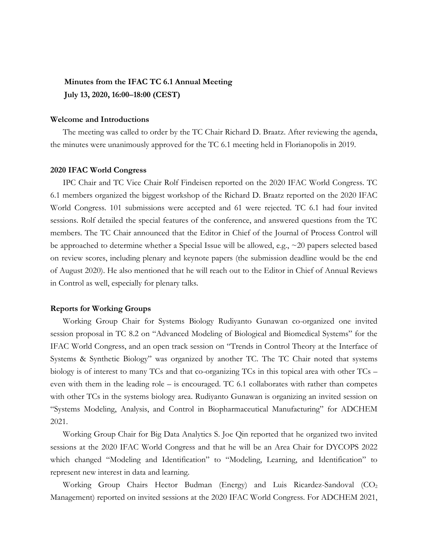# **Minutes from the IFAC TC 6.1 Annual Meeting July 13, 2020, 16:00–18:00 (CEST)**

## **Welcome and Introductions**

The meeting was called to order by the TC Chair Richard D. Braatz. After reviewing the agenda, the minutes were unanimously approved for the TC 6.1 meeting held in Florianopolis in 2019.

#### **2020 IFAC World Congress**

IPC Chair and TC Vice Chair Rolf Findeisen reported on the 2020 IFAC World Congress. TC 6.1 members organized the biggest workshop of the Richard D. Braatz reported on the 2020 IFAC World Congress. 101 submissions were accepted and 61 were rejected. TC 6.1 had four invited sessions. Rolf detailed the special features of the conference, and answered questions from the TC members. The TC Chair announced that the Editor in Chief of the Journal of Process Control will be approached to determine whether a Special Issue will be allowed, e.g., ~20 papers selected based on review scores, including plenary and keynote papers (the submission deadline would be the end of August 2020). He also mentioned that he will reach out to the Editor in Chief of Annual Reviews in Control as well, especially for plenary talks.

# **Reports for Working Groups**

Working Group Chair for Systems Biology Rudiyanto Gunawan co-organized one invited session proposal in TC 8.2 on "Advanced Modeling of Biological and Biomedical Systems" for the IFAC World Congress, and an open track session on "Trends in Control Theory at the Interface of Systems & Synthetic Biology" was organized by another TC. The TC Chair noted that systems biology is of interest to many TCs and that co-organizing TCs in this topical area with other TCs – even with them in the leading role – is encouraged. TC 6.1 collaborates with rather than competes with other TCs in the systems biology area. Rudiyanto Gunawan is organizing an invited session on "Systems Modeling, Analysis, and Control in Biopharmaceutical Manufacturing" for ADCHEM 2021.

Working Group Chair for Big Data Analytics S. Joe Qin reported that he organized two invited sessions at the 2020 IFAC World Congress and that he will be an Area Chair for DYCOPS 2022 which changed "Modeling and Identification" to "Modeling, Learning, and Identification" to represent new interest in data and learning.

Working Group Chairs Hector Budman (Energy) and Luis Ricardez-Sandoval (CO<sub>2</sub>) Management) reported on invited sessions at the 2020 IFAC World Congress. For ADCHEM 2021,